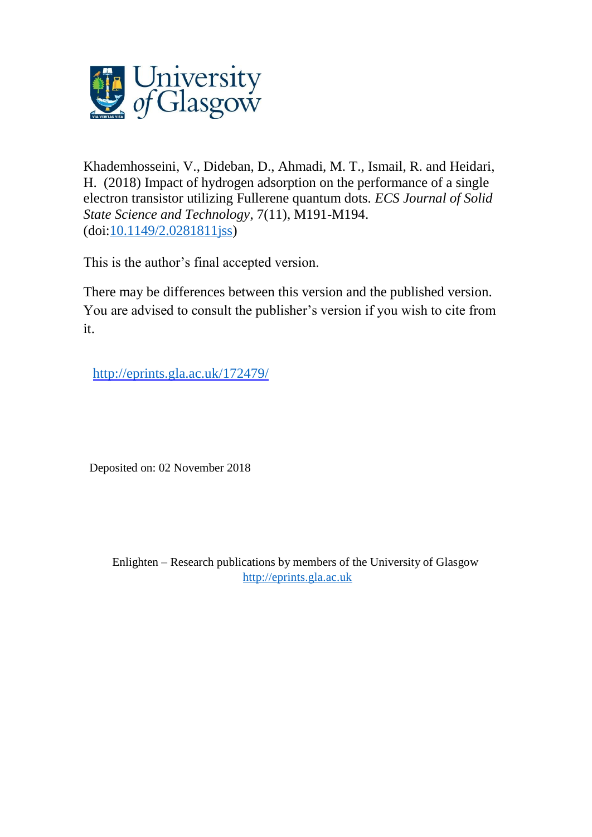

Khademhosseini, V., Dideban, D., Ahmadi, M. T., Ismail, R. and Heidari, H. (2018) Impact of hydrogen adsorption on the performance of a single electron transistor utilizing Fullerene quantum dots. *ECS Journal of Solid State Science and Technology*, 7(11), M191-M194. (doi[:10.1149/2.0281811jss\)](http://dx.doi.org/10.1149/2.0281811jss)

This is the author's final accepted version.

There may be differences between this version and the published version. You are advised to consult the publisher's version if you wish to cite from it.

http://eprints.gla.ac.uk/172479/

Deposited on: 02 November 2018

Enlighten – Research publications by members of the University of Glasgow [http://eprints.gla.ac.uk](http://eprints.gla.ac.uk/)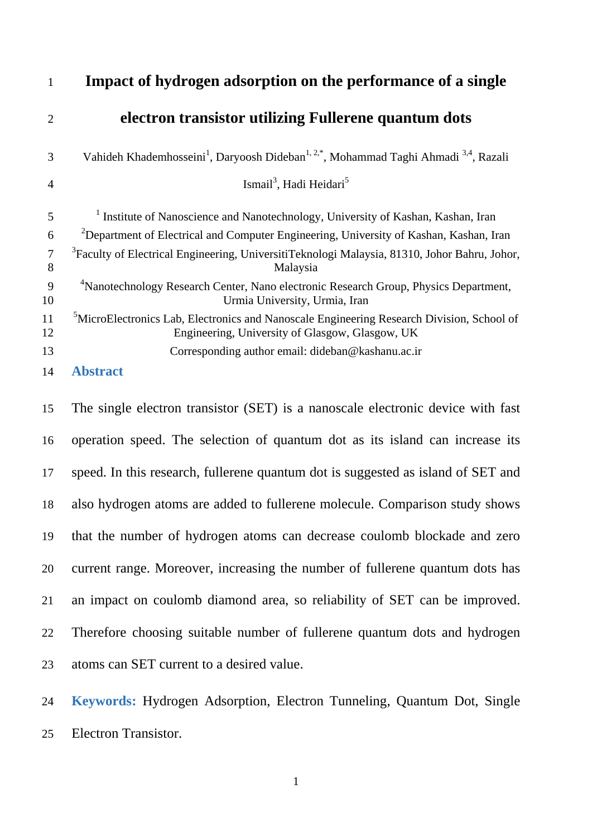| 1              | Impact of hydrogen adsorption on the performance of a single                                                                                             |
|----------------|----------------------------------------------------------------------------------------------------------------------------------------------------------|
| $\overline{2}$ | electron transistor utilizing Fullerene quantum dots                                                                                                     |
| 3              | Vahideh Khademhosseini <sup>1</sup> , Daryoosh Dideban <sup>1, 2,*</sup> , Mohammad Taghi Ahmadi <sup>3,4</sup> , Razali                                 |
| $\overline{4}$ | Ismail <sup>3</sup> , Hadi Heidari <sup>5</sup>                                                                                                          |
| 5              | <sup>1</sup> Institute of Nanoscience and Nanotechnology, University of Kashan, Kashan, Iran                                                             |
| 6              | <sup>2</sup> Department of Electrical and Computer Engineering, University of Kashan, Kashan, Iran                                                       |
| $\tau$<br>8    | <sup>3</sup> Faculty of Electrical Engineering, UniversitiTeknologi Malaysia, 81310, Johor Bahru, Johor,<br>Malaysia                                     |
| 9<br>10        | <sup>4</sup> Nanotechnology Research Center, Nano electronic Research Group, Physics Department,<br>Urmia University, Urmia, Iran                        |
| 11<br>12       | <sup>5</sup> MicroElectronics Lab, Electronics and Nanoscale Engineering Research Division, School of<br>Engineering, University of Glasgow, Glasgow, UK |
| 13             | Corresponding author email: dideban@kashanu.ac.ir                                                                                                        |
| 14             | <b>Abstract</b>                                                                                                                                          |

 The single electron transistor (SET) is a nanoscale electronic device with fast operation speed. The selection of quantum dot as its island can increase its speed. In this research, fullerene quantum dot is suggested as island of SET and also hydrogen atoms are added to fullerene molecule. Comparison study shows that the number of hydrogen atoms can decrease coulomb blockade and zero current range. Moreover, increasing the number of fullerene quantum dots has an impact on coulomb diamond area, so reliability of SET can be improved. Therefore choosing suitable number of fullerene quantum dots and hydrogen atoms can SET current to a desired value.

 **Keywords:** Hydrogen Adsorption, Electron Tunneling, Quantum Dot, Single Electron Transistor.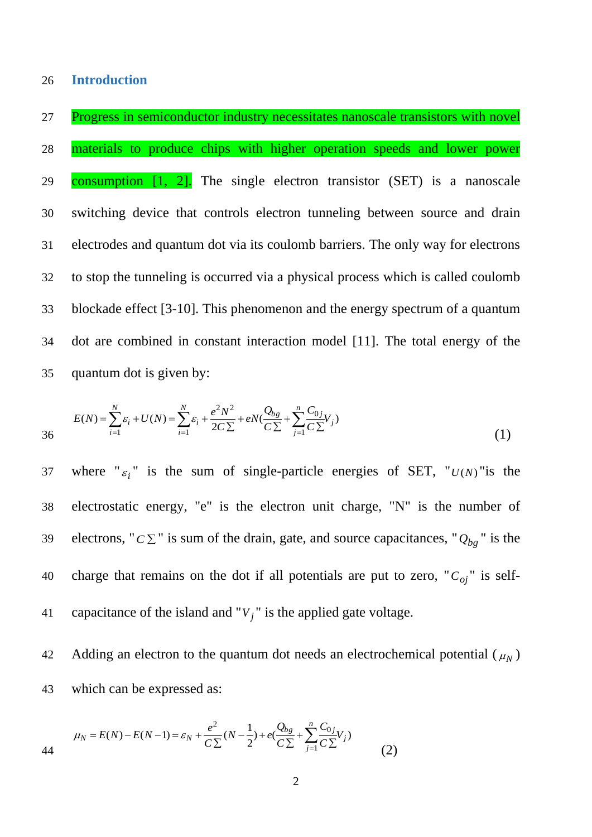Progress in semiconductor industry necessitates nanoscale transistors with novel materials to produce chips with higher operation speeds and lower power 29 consumption  $\begin{bmatrix} 1 \\ 2 \end{bmatrix}$ . The single electron transistor (SET) is a nanoscale switching device that controls electron tunneling between source and drain electrodes and quantum dot via its coulomb barriers. The only way for electrons to stop the tunneling is occurred via a physical process which is called coulomb blockade effect [3-10]. This phenomenon and the energy spectrum of a quantum dot are combined in constant interaction model [11]. The total energy of the quantum dot is given by:

$$
E(N) = \sum_{i=1}^{N} \varepsilon_i + U(N) = \sum_{i=1}^{N} \varepsilon_i + \frac{e^2 N^2}{2C \sum} + eN(\frac{Q_{bg}}{C \sum} + \sum_{j=1}^{n} \frac{C_{0j}}{C \sum} V_j)
$$
(1)

where " $\varepsilon_i$ " is the sum of single-particle energies of SET, " $U(N)$ " is the 37 38 electrostatic energy, "e" is the electron unit charge, "N" is the number of electrons, " $C \Sigma$ " is sum of the drain, gate, and source capacitances, " $Q_{bg}$ " is the 40 charge that remains on the dot if all potentials are put to zero, " $C_{oj}$ " is self-41 capacitance of the island and " $V_j$ " is the applied gate voltage.

Adding an electron to the quantum dot needs an electrochemical potential  $(\mu_N)$ 43 which can be expressed as:

44 
$$
\mu_N = E(N) - E(N-1) = \varepsilon_N + \frac{e^2}{C\Sigma}(N-\frac{1}{2}) + e(\frac{Q_{bg}}{C\Sigma} + \sum_{j=1}^n \frac{C_{0j}}{C\Sigma}V_j)
$$
 (2)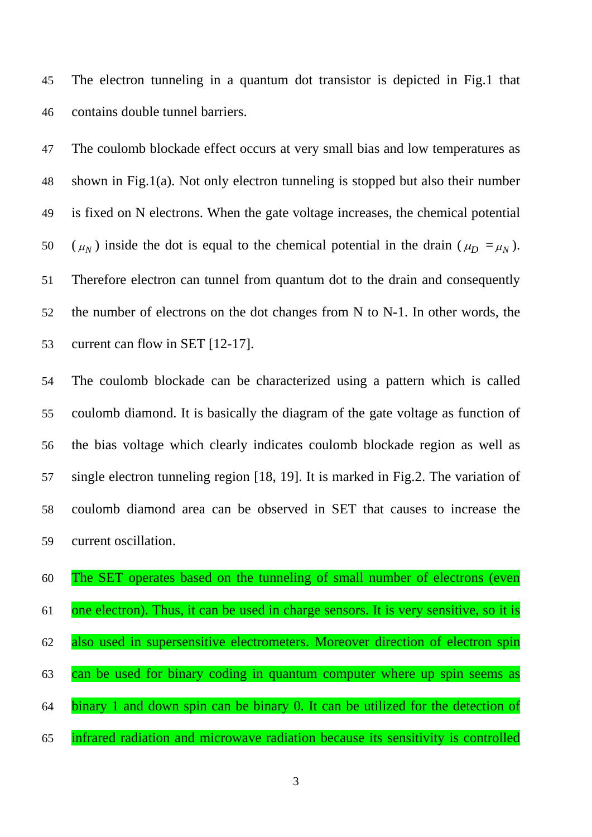The electron tunneling in a quantum dot transistor is depicted in Fig.1 that contains double tunnel barriers.

 The coulomb blockade effect occurs at very small bias and low temperatures as shown in Fig.1(a). Not only electron tunneling is stopped but also their number is fixed on N electrons. When the gate voltage increases, the chemical potential 50 ( $\mu$ <sub>N</sub>) inside the dot is equal to the chemical potential in the drain ( $\mu$ <sub>D</sub> =  $\mu$ <sub>N</sub>). Therefore electron can tunnel from quantum dot to the drain and consequently the number of electrons on the dot changes from N to N-1. In other words, the current can flow in SET [12-17].

 The coulomb blockade can be characterized using a pattern which is called coulomb diamond. It is basically the diagram of the gate voltage as function of the bias voltage which clearly indicates coulomb blockade region as well as single electron tunneling region [18, 19]. It is marked in Fig.2. The variation of coulomb diamond area can be observed in SET that causes to increase the current oscillation.

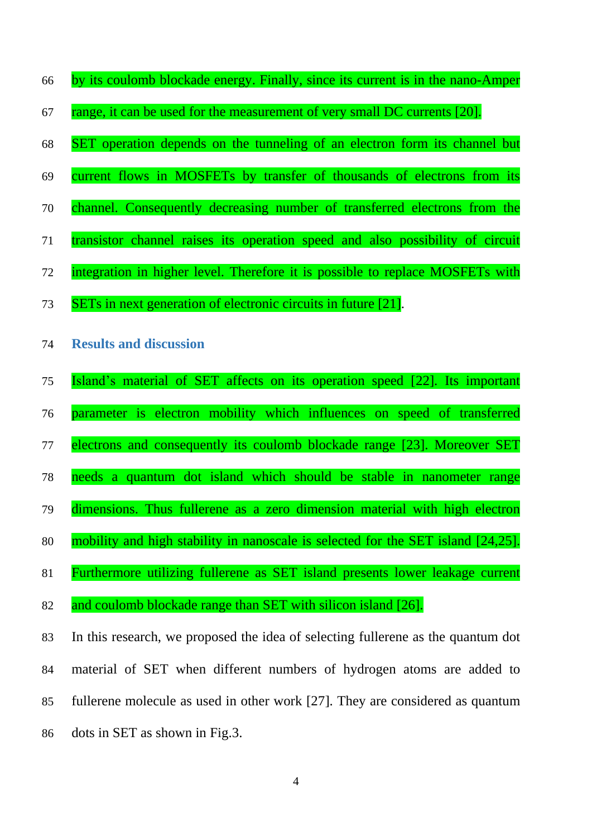- by its coulomb blockade energy. Finally, since its current is in the nano-Amper
- 67 range, it can be used for the measurement of very small DC currents [20].
- SET operation depends on the tunneling of an electron form its channel but
- current flows in MOSFETs by transfer of thousands of electrons from its
- channel. Consequently decreasing number of transferred electrons from the
- transistor channel raises its operation speed and also possibility of circuit
- integration in higher level. Therefore it is possible to replace MOSFETs with
- SETs in next generation of electronic circuits in future [21].
- **Results and discussion**
- Island's material of SET affects on its operation speed [22]. Its important
- parameter is electron mobility which influences on speed of transferred
- 77 electrons and consequently its coulomb blockade range [23]. Moreover SET
- needs a quantum dot island which should be stable in nanometer range
- dimensions. Thus fullerene as a zero dimension material with high electron
- 80 mobility and high stability in nanoscale is selected for the SET island [24,25].
- Furthermore utilizing fullerene as SET island presents lower leakage current
- and coulomb blockade range than SET with silicon island [26].

 In this research, we proposed the idea of selecting fullerene as the quantum dot material of SET when different numbers of hydrogen atoms are added to fullerene molecule as used in other work [27]. They are considered as quantum dots in SET as shown in Fig.3.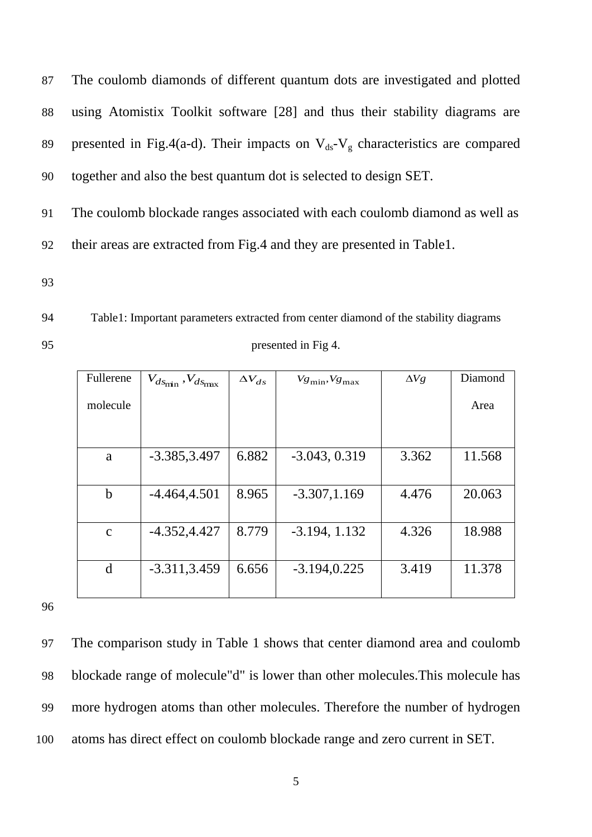The coulomb diamonds of different quantum dots are investigated and plotted using Atomistix Toolkit software [28] and thus their stability diagrams are 89 presented in Fig.4(a-d). Their impacts on  $V_{ds}-V_g$  characteristics are compared together and also the best quantum dot is selected to design SET.

91 The coulomb blockade ranges associated with each coulomb diamond as well as 92 their areas are extracted from Fig.4 and they are presented in Table1.

93

94 Table1: Important parameters extracted from center diamond of the stability diagrams 95 presented in Fig 4.

| Fullerene    | $V_{ds_{\text{min}}}$ , $V_{ds_{\text{max}}}$ | $\Delta V_{ds}$ | $Vg_{\text{min}}$ , $Vg_{\text{max}}$ | $\Delta Vg$ | Diamond |
|--------------|-----------------------------------------------|-----------------|---------------------------------------|-------------|---------|
| molecule     |                                               |                 |                                       |             | Area    |
|              |                                               |                 |                                       |             |         |
| a            | $-3.385, 3.497$                               | 6.882           | $-3.043, 0.319$                       | 3.362       | 11.568  |
|              |                                               |                 |                                       |             |         |
| $\mathbf b$  | $-4.464, 4.501$                               | 8.965           | $-3.307, 1.169$                       | 4.476       | 20.063  |
|              |                                               |                 |                                       |             |         |
| $\mathbf{C}$ | $-4.352, 4.427$                               | 8.779           | $-3.194, 1.132$                       | 4.326       | 18.988  |
|              |                                               |                 |                                       |             |         |
| d            | $-3.311, 3.459$                               | 6.656           | $-3.194, 0.225$                       | 3.419       | 11.378  |
|              |                                               |                 |                                       |             |         |

97 The comparison study in Table 1 shows that center diamond area and coulomb 98 blockade range of molecule"d" is lower than other molecules.This molecule has 99 more hydrogen atoms than other molecules. Therefore the number of hydrogen 100 atoms has direct effect on coulomb blockade range and zero current in SET.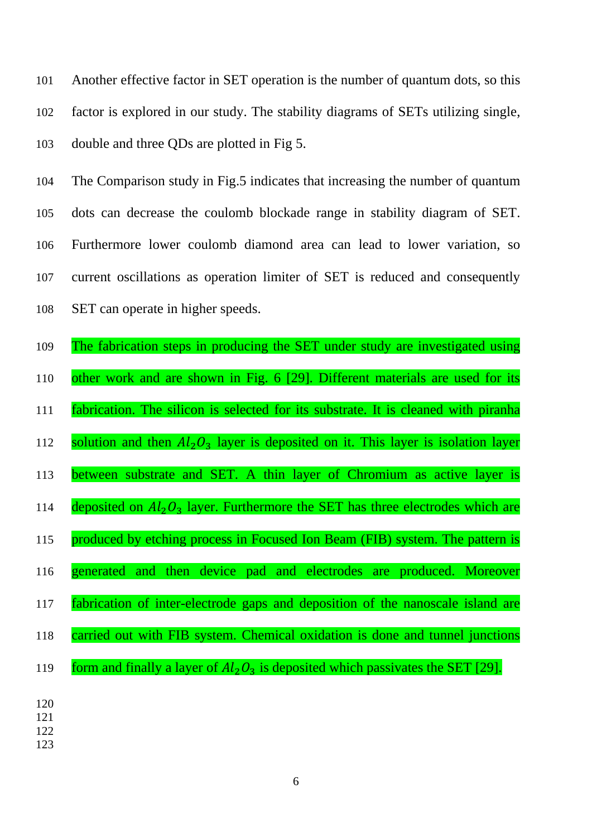Another effective factor in SET operation is the number of quantum dots, so this factor is explored in our study. The stability diagrams of SETs utilizing single, double and three QDs are plotted in Fig 5.

 The Comparison study in Fig.5 indicates that increasing the number of quantum dots can decrease the coulomb blockade range in stability diagram of SET. Furthermore lower coulomb diamond area can lead to lower variation, so current oscillations as operation limiter of SET is reduced and consequently SET can operate in higher speeds.

- The fabrication steps in producing the SET under study are investigated using other work and are shown in Fig. 6 [29]. Different materials are used for its fabrication. The silicon is selected for its substrate. It is cleaned with piranha 112 solution and then  $Al_2O_3$  layer is deposited on it. This layer is isolation layer between substrate and SET. A thin layer of Chromium as active layer is 114 deposited on  $Al_2O_3$  layer. Furthermore the SET has three electrodes which are 115 produced by etching process in Focused Ion Beam (FIB) system. The pattern is generated and then device pad and electrodes are produced. Moreover fabrication of inter-electrode gaps and deposition of the nanoscale island are carried out with FIB system. Chemical oxidation is done and tunnel junctions 119 form and finally a layer of  $Al_2O_3$  is deposited which passivates the SET [29].
-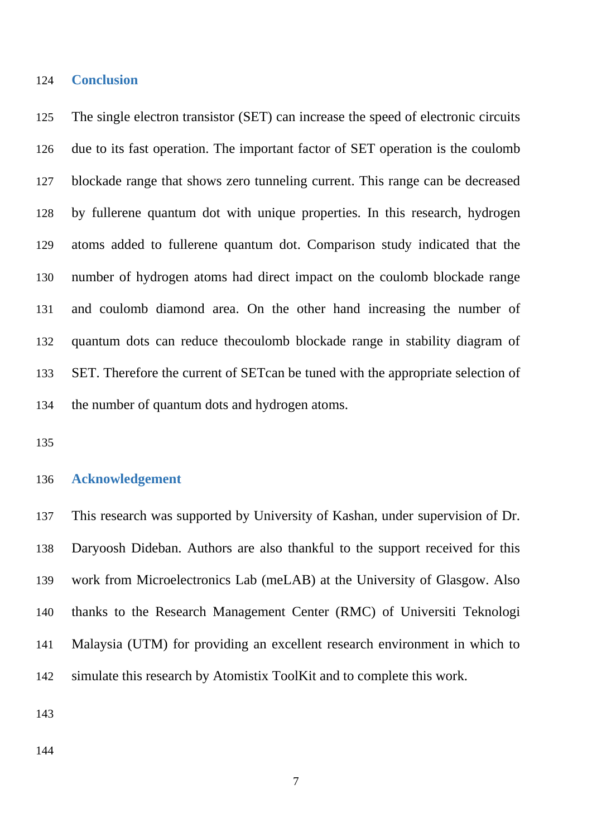## **Conclusion**

 The single electron transistor (SET) can increase the speed of electronic circuits due to its fast operation. The important factor of SET operation is the coulomb blockade range that shows zero tunneling current. This range can be decreased by fullerene quantum dot with unique properties. In this research, hydrogen atoms added to fullerene quantum dot. Comparison study indicated that the number of hydrogen atoms had direct impact on the coulomb blockade range and coulomb diamond area. On the other hand increasing the number of quantum dots can reduce thecoulomb blockade range in stability diagram of SET. Therefore the current of SETcan be tuned with the appropriate selection of the number of quantum dots and hydrogen atoms.

## **Acknowledgement**

 This research was supported by University of Kashan, under supervision of Dr. Daryoosh Dideban. Authors are also thankful to the support received for this work from Microelectronics Lab (meLAB) at the University of Glasgow. Also thanks to the Research Management Center (RMC) of Universiti Teknologi Malaysia (UTM) for providing an excellent research environment in which to simulate this research by Atomistix ToolKit and to complete this work.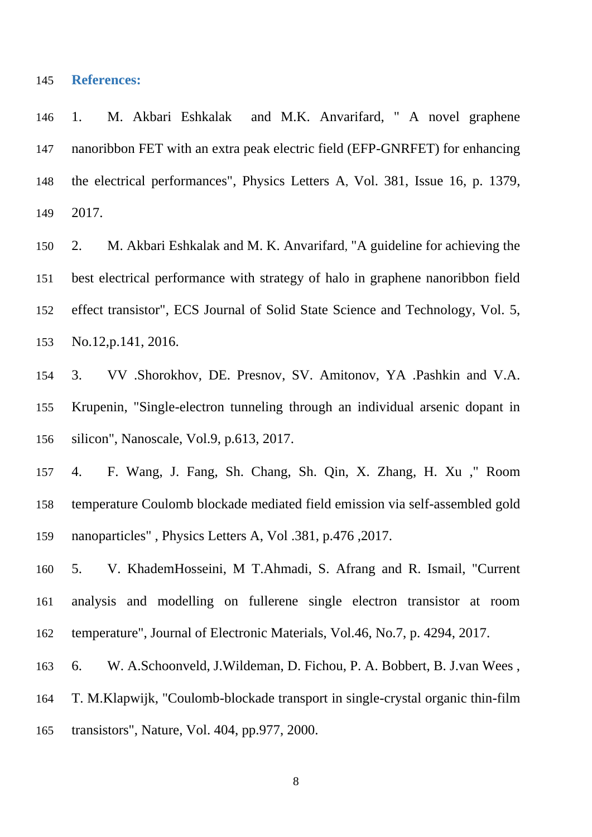## **References:**

 1. [M. Akbari Eshkalak](https://www.sciencedirect.com/science/article/abs/pii/S0375960116309768#!) and M.K. [Anvarifard,](https://www.sciencedirect.com/science/article/abs/pii/S0375960116309768#!) " A novel graphene nanoribbon FET with an extra peak electric field (EFP-GNRFET) for enhancing the electrical performances", [Physics Letters A](https://www.sciencedirect.com/science/journal/03759601), [Vol. 381, Issue 16,](https://www.sciencedirect.com/science/journal/03759601/381/16) p. 1379, 2017.

 2. [M. Akbari Eshkalak](http://jss.ecsdl.org/search?author1=Maedeh+Akbari+Eshkalak&sortspec=date&submit=Submit) and [M. K. Anvarifard](http://jss.ecsdl.org/search?author1=Mohammad+K.+Anvarifard&sortspec=date&submit=Submit), "A guideline for achieving the best electrical performance with strategy of halo in graphene nanoribbon field effect transistor", ECS Journal of Solid State Science and Technology, Vol. 5, No.12,p.141, 2016.

 3. [VV .Shorokhov,](https://scholar.google.com/citations?user=Wk_4GH4AAAAJ&hl=en&oi=sra) [DE. Presnov,](https://scholar.google.com/citations?user=qny_aJEAAAAJ&hl=en&oi=sra) SV. Amitonov, [YA .Pashkin](https://scholar.google.com/citations?user=yBPvaR0AAAAJ&hl=en&oi=sra) and V.A. Krupenin, "Single-electron tunneling through an individual arsenic dopant in silicon", Nanoscale, Vol.9, p.613, 2017.

 4. [F. Wang,](http://www.sciencedirect.com/science/article/pii/S0375960116316735) J. [Fang,](http://www.sciencedirect.com/science/article/pii/S0375960116316735) [Sh. Chang,](http://www.sciencedirect.com/science/article/pii/S0375960116316735) [Sh. Qin,](http://www.sciencedirect.com/science/article/pii/S0375960116316735) [X. Zhang,](http://www.sciencedirect.com/science/article/pii/S0375960116316735) [H. Xu](http://www.sciencedirect.com/science/article/pii/S0375960116316735) ," Ro[om](http://www.sciencedirect.com/science/article/pii/S0375960116316735)  [temperature Coulomb blockade mediated field emission via self-assembled gold](http://www.sciencedirect.com/science/article/pii/S0375960116316735)  [nanoparticles"](http://www.sciencedirect.com/science/article/pii/S0375960116316735) [, Physics Letters A, Vol .381,](http://www.sciencedirect.com/science/journal/03759601/381/5) p.476 ,2017.

 5. V. KhademHosseini, M T.Ahmadi, S. Afrang and R. Ismail, "Current analysis and modelling on fullerene single electron transistor at room temperature", Journal of Electronic Materials, Vol.46, No.7, p. 4294, 2017.

6. W. A.Schoonveld, J.Wildeman, D. Fichou, P. A. Bobbert, B. J.van Wees ,

T. M.Klapwijk, "Coulomb-blockade transport in single-crystal organic thin-film

transistors", Nature, Vol. 404, pp.977, 2000.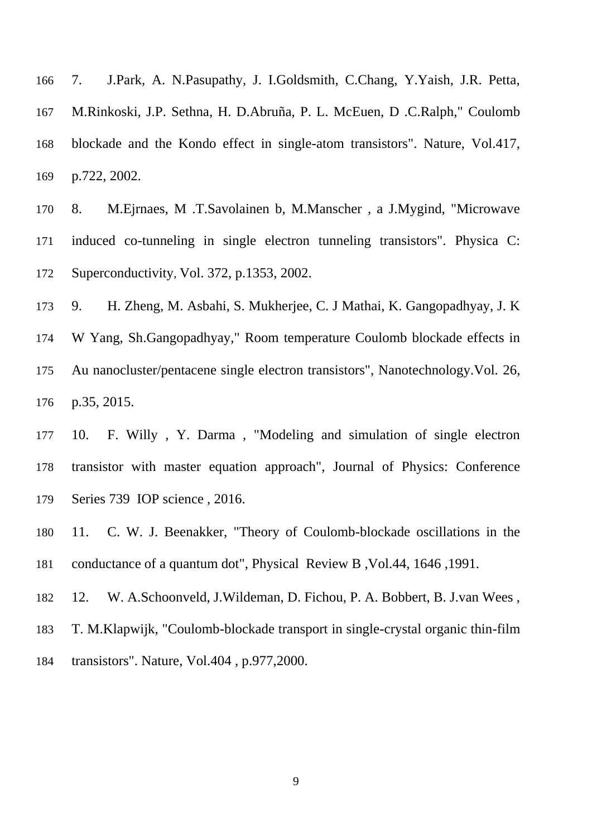7. J.Park, A. N.Pasupathy, J. I.Goldsmith, C.Chang, Y.Yaish, J.R. Petta, M.Rinkoski, J.P. Sethna, H. D.Abruña, P. L. McEuen, D .C.Ralph," Coulomb blockade and the Kondo effect in single-atom transistors". Nature, Vol.417, p.722, 2002.

 8. M.Ejrnaes, M .T.Savolainen b, M.Manscher , a J.Mygind, "Microwave induced co-tunneling in single electron tunneling transistors". [Physica C:](https://www.sciencedirect.com/science/journal/09214534)  [Superconductivity](https://www.sciencedirect.com/science/journal/09214534), Vol. 372, p.1353, 2002.

9. H. Zheng, M. Asbahi, S. Mukherjee, C. J Mathai, K. Gangopadhyay, J. K

 W Yang, Sh.Gangopadhyay," Room temperature Coulomb blockade effects in Au nanocluster/pentacene single electron transistors", Nanotechnology.Vol. [26](http://iopscience.iop.org/volume/0957-4484/26)[,](http://iopscience.iop.org/issue/0957-4484/26/35) [p.35,](http://iopscience.iop.org/issue/0957-4484/26/35) 2015.

 10. F. Willy , Y. Darma , "Modeling and simulation of single electron transistor with master equation approach", Journal of Physics: Conference Series 739 IOP science , 2016.

 11. C. W. J. Beenakker, "Theory of Coulomb-blockade oscillations in the conductance of a quantum dot", Physical Review B ,Vol.44, 1646 ,1991.

12. W. A.Schoonveld, J.Wildeman, D. Fichou, P. A. Bobbert, B. J.van Wees ,

T. M.Klapwijk, "Coulomb-blockade transport in single-crystal organic thin-film

transistors". Nature, Vol.404 , p.977,2000.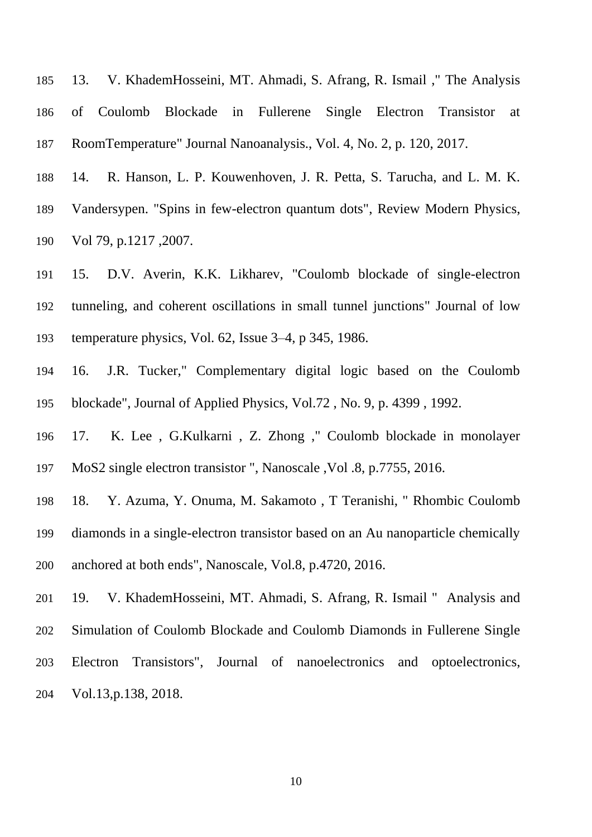13. V. KhademHosseini, MT. Ahmadi, S. Afrang, R. Ismail ," The Analysis of Coulomb Blockade in Fullerene Single Electron Transistor at RoomTemperature" Journal Nanoanalysis., Vol. 4, No. 2, p. 120, 2017.

 14. R. Hanson, L. P. Kouwenhoven, J. R. Petta, S. Tarucha, and L. M. K. Vandersypen. "Spins in few-electron quantum dots", Review Modern Physics, Vol 79, p.1217 ,2007.

 15. D.V. Averin, [K.K. Likharev,](https://scholar.google.com/citations?user=hrGiWe8AAAAJ&hl=en&oi=sra) ["Coulomb blockade of single-electron](http://link.springer.com/article/10.1007/BF00683469)  [tunneling, and coherent oscillations in small tunnel junctions"](http://link.springer.com/article/10.1007/BF00683469) Journal of low temperature physics, Vol. 62, [Issue 3–4,](https://link.springer.com/journal/10909/62/3/page/1) p 345, 1986.

 16. J.R. Tucker," Complementary digital logic based on the Coulomb blockade", Journal of Applied Physics, Vol.72 , No. 9, p. 4399 , 1992.

17. [K. Lee](https://scholar.google.com/citations?user=GTSMnlcAAAAJ&hl=en&oi=sra) , [G.Kulkarni](https://scholar.google.com/citations?user=ibVVs6MAAAAJ&hl=en&oi=sra) , [Z. Zhong](https://scholar.google.com/citations?user=FG5TJpoAAAAJ&hl=en&oi=sra) ," [Coulomb blockade in monolayer](http://pubs.rsc.org/is/content/articlehtml/2016/nr/c5nr08954a) 

[MoS2 single electron transistor](http://pubs.rsc.org/is/content/articlehtml/2016/nr/c5nr08954a) ", Nanoscale ,Vol .8, p.7755, 2016.

 18. Y. Azuma, Y. Onuma, M. Sakamoto , T Teranishi, " [Rhombic Coulomb](http://pubs.rsc.org/-/content/articlehtml/2016/nr/c5nr08965d)  [diamonds in a single-electron transistor based on an Au nanoparticle chemically](http://pubs.rsc.org/-/content/articlehtml/2016/nr/c5nr08965d)  [anchored at both ends"](http://pubs.rsc.org/-/content/articlehtml/2016/nr/c5nr08965d), Nanoscale, Vol.8, p.4720, 2016.

 19. V. KhademHosseini, MT. Ahmadi, S. Afrang, R. Ismail " Analysis and [Simulation o](http://www.tandfonline.com/doi/abs/10.1080/03610918.2014.970700)f Coulomb Blockade and Coulomb Diamonds in Fullerene Single Electron Transistors", Journal of nanoelectronics and optoelectronics, Vol.13,p.138, 2018.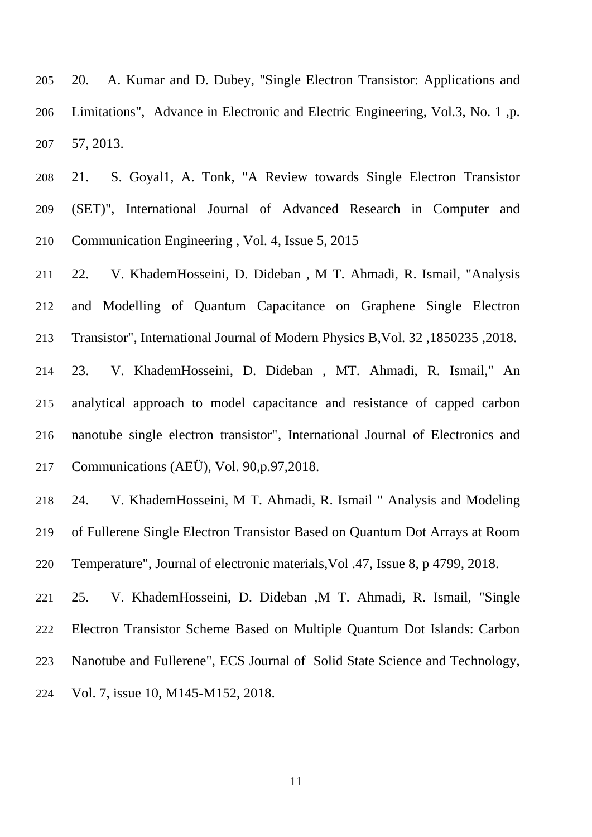20. A. Kumar and D. Dubey, "Single Electron Transistor: Applications and Limitations", Advance in Electronic and Electric Engineering, Vol.3, No. 1 ,p. 57, 2013.

 21. S. Goyal1, A. Tonk, "A Review towards Single Electron Transistor (SET)", International Journal of Advanced Research in Computer and Communication Engineering , Vol. 4, Issue 5, 2015

 22. V. KhademHosseini, D. Dideban , M T. Ahmadi, R. Ismail, "Analysis and Modelling of Quantum Capacitance on Graphene Single Electron Transistor", International Journal of Modern Physics B,Vol. 32 ,1850235 ,2018.

 23. V. KhademHosseini, D. Dideban , MT. Ahmadi, R. Ismail," An analytical approach to model capacitance and resistance of capped carbon nanotube single electron transistor", International Journal of Electronics and Communications (AEÜ), Vol. 90,p.97,2018.

 24. V. KhademHosseini, M T. Ahmadi, R. Ismail " Analysis and Modeling of Fullerene Single Electron Transistor Based on Quantum Dot Arrays at Room Temperature", Journal of electronic materials,Vol .47, [Issue](https://link.springer.com/journal/11664/47/8/page/1) 8, p 4799, 2018.

 25. V. KhademHosseini, D. Dideban ,M T. Ahmadi, R. Ismail, "Single Electron Transistor Scheme Based on Multiple Quantum Dot Islands: Carbon Nanotube and Fullerene", ECS Journal of Solid State Science and Technology, Vol. 7, issue 10, M145-M152, 2018.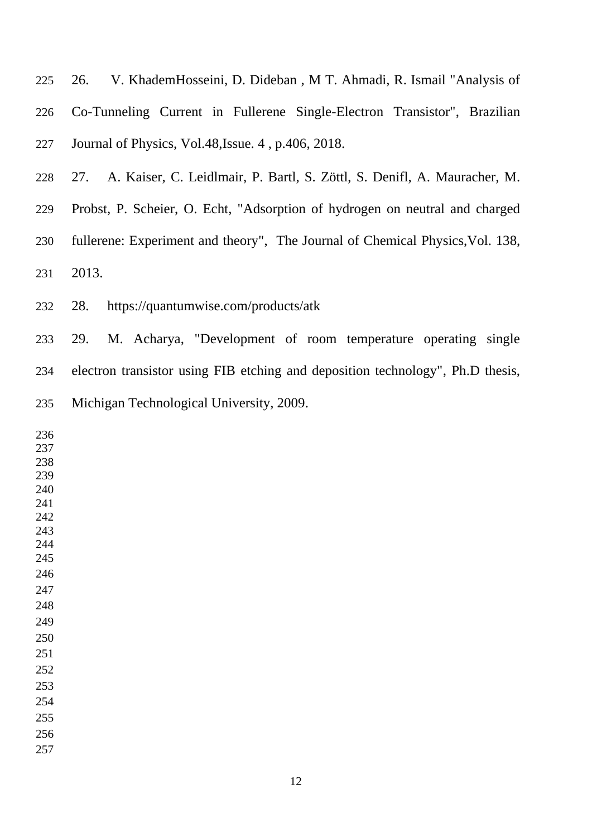26. V. KhademHosseini, D. Dideban , M T. Ahmadi, R. Ismail "Analysis of Co-Tunneling Current in Fullerene Single-Electron Transistor", Brazilian Journal of Physics, Vol.48,Issue. 4 , p.406, 2018.

27. A. Kaiser, C. Leidlmair, P. Bartl, S. Zöttl, S. Denifl, A. Mauracher, M.

 Probst, P. Scheier, O. Echt, "Adsorption of hydrogen on neutral and charged fullerene: Experiment and theory", The Journal of Chemical Physics,Vol. 138,

2013.

28. https://quantumwise.com/products/atk

 29. M. Acharya, "Development of room temperature operating single electron transistor using FIB etching and deposition technology", Ph.D thesis, Michigan Technological University, 2009.

| 236 |  |  |  |
|-----|--|--|--|
| 237 |  |  |  |
| 238 |  |  |  |
| 239 |  |  |  |
| 240 |  |  |  |
| 241 |  |  |  |
| 242 |  |  |  |
| 243 |  |  |  |
| 244 |  |  |  |
| 245 |  |  |  |
| 246 |  |  |  |
| 247 |  |  |  |
| 248 |  |  |  |
| 249 |  |  |  |
| 250 |  |  |  |
| 251 |  |  |  |
| 252 |  |  |  |
| 253 |  |  |  |
| 254 |  |  |  |
| 255 |  |  |  |
| 256 |  |  |  |
| 257 |  |  |  |
|     |  |  |  |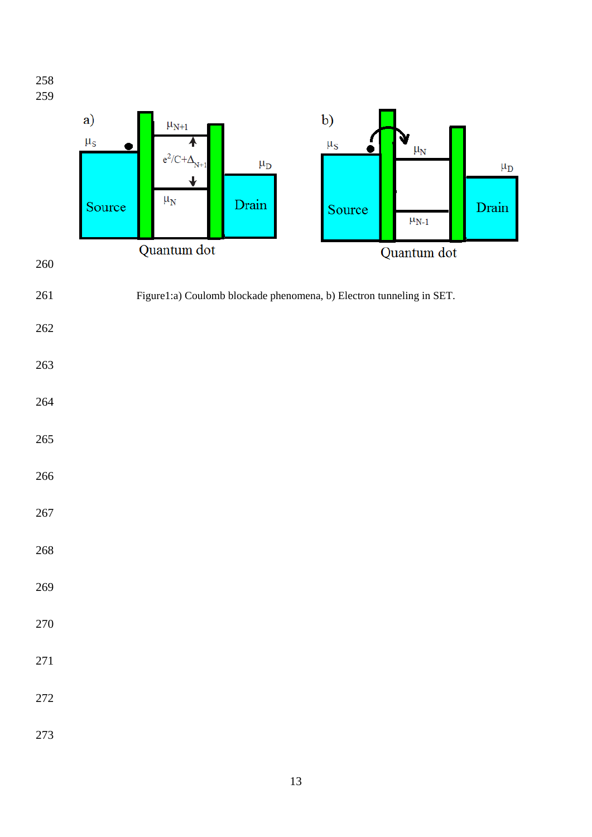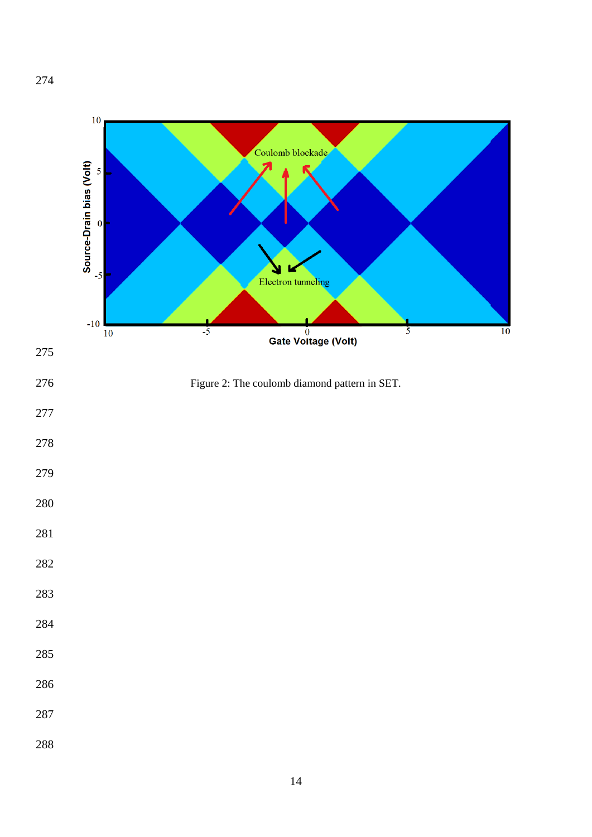

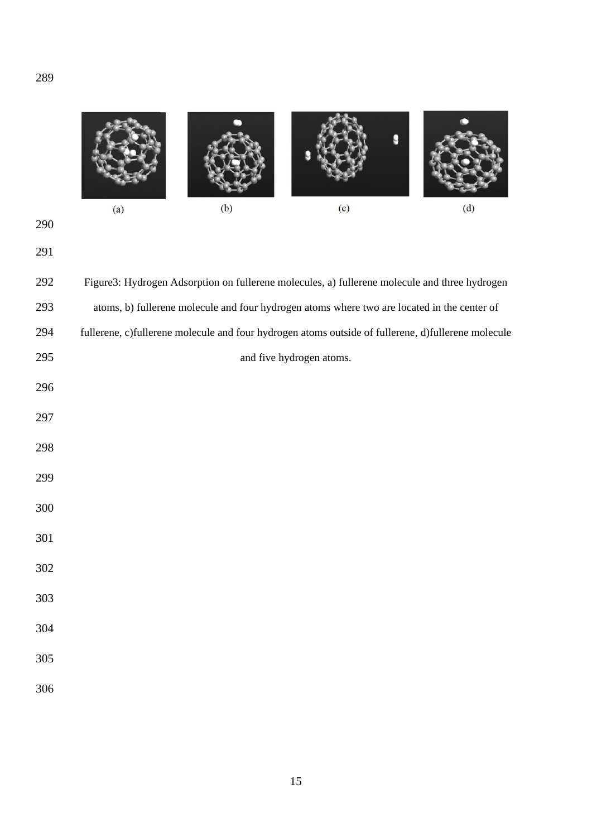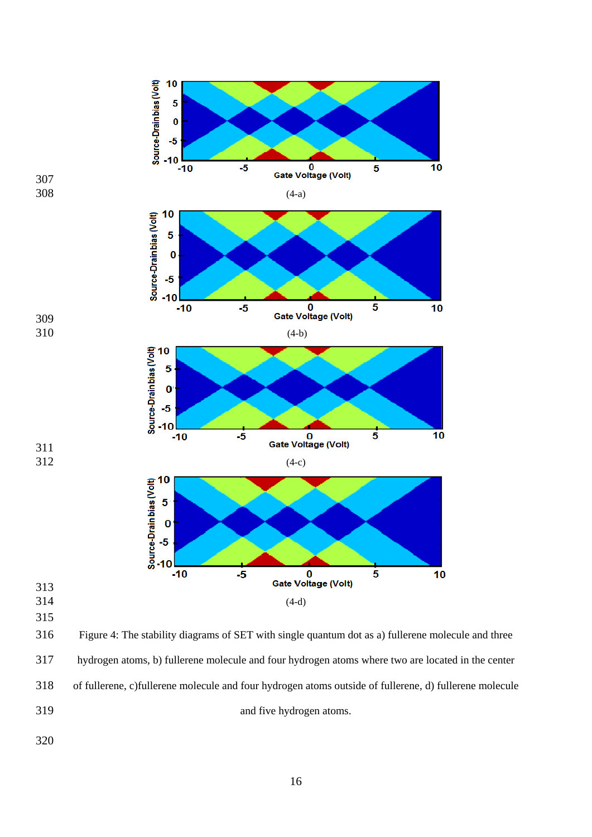

 hydrogen atoms, b) fullerene molecule and four hydrogen atoms where two are located in the center of fullerene, c)fullerene molecule and four hydrogen atoms outside of fullerene, d) fullerene molecule and five hydrogen atoms.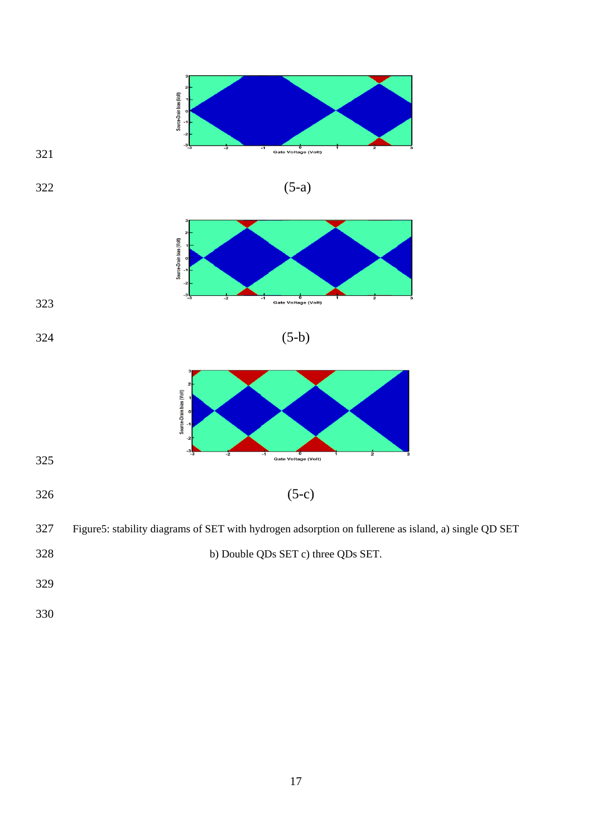